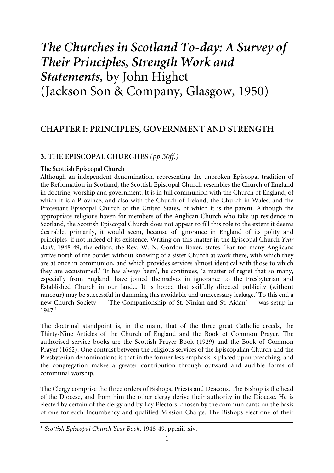# *The Churches in Scotland To-day: A Survey of Their Principles, Strength Work and Statements,* by John Highet (Jackson Son & Company, Glasgow, 1950)

# **CHAPTER I: PRINCIPLES, GOVERNMENT AND STRENGTH**

# **3. THE EPISCOPAL CHURCHES** *(pp.30ff.)*

## **The Scottish Episcopal Church**

Although an independent denomination, representing the unbroken Episcopal tradition of the Reformation in Scotland, the Scottish Episcopal Church resembles the Church of England in doctrine, worship and government. It is in full communion with the Church of England, of which it is a Province, and also with the Church of Ireland, the Church in Wales, and the Protestant Episcopal Church of the United States, of which it is the parent. Although the appropriate religious haven for members of the Anglican Church who take up residence in Scotland, the Scottish Episcopal Church does not appear to fill this role to the extent it deems desirable, primarily, it would seem, because of ignorance in England of its polity and principles, if not indeed of its existence. Writing on this matter in the Episcopal Church *Year Book*, 1948-49, the editor, the Rev. W. N. Gordon Boxer, states: 'Far too many Anglicans arrive north of the border without knowing of a sister Church at work there, with which they are at once in communion, and which provides services almost identical with those to which they are accustomed.' 'It has always been', he continues, 'a matter of regret that so many, especially from England, have joined themselves in ignorance to the Presbyterian and Established Church in our land... It is hoped that skilfully directed publicity (without rancour) may be successful in damming this avoidable and unnecessary leakage.' To this end a new Church Society — 'The Companionship of St. Ninian and St. Aidan' — was setup in 1947.1

The doctrinal standpoint is, in the main, that of the three great Catholic creeds, the Thirty-Nine Articles of the Church of England and the Book of Common Prayer. The authorised service books are the Scottish Prayer Book (1929) and the Book of Common Prayer (1662). One contrast between the religious services of the Episcopalian Church and the Presbyterian denominations is that in the former less emphasis is placed upon preaching, and the congregation makes a greater contribution through outward and audible forms of communal worship.

The Clergy comprise the three orders of Bishops, Priests and Deacons. The Bishop is the head of the Diocese, and from him the other clergy derive their authority in the Diocese. He is elected by certain of the clergy and by Lay Electors, chosen by the communicants on the basis of one for each Incumbency and qualified Mission Charge. The Bishops elect one of their

<sup>1</sup> *Scottish Episcopal Church Year Book*, 1948-49, pp.xiii-xiv.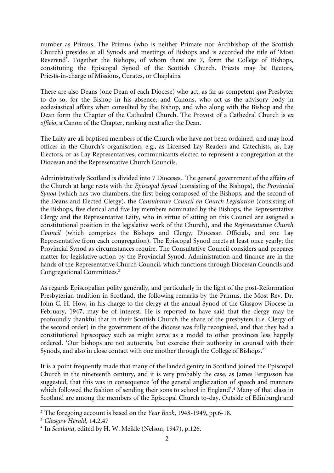number as Primus. The Primus (who is neither Primate nor Archbishop of the Scottish Church) presides at all Synods and meetings of Bishops and is accorded the title of 'Most Reverend'. Together the Bishops, of whom there are 7, form the College of Bishops, constituting the Episcopal Synod of the Scottish Church. Priests may be Rectors, Priests-in-charge of Missions, Curates, or Chaplains.

There are also Deans (one Dean of each Diocese) who act, as far as competent *qua* Presbyter to do so, for the Bishop in his absence; and Canons, who act as the advisory body in ecclesiastical affairs when consulted by the Bishop, and who along with the Bishop and the Dean form the Chapter of the Cathedral Church. The Provost of a Cathedral Church is *ex officio*, a Canon of the Chapter, ranking next after the Dean.

The Laity are all baptised members of the Church who have not been ordained, and may hold offices in the Church's organisation, e.g., as Licensed Lay Readers and Catechists, as, Lay Electors, or as Lay Representatives, communicants elected to represent a congregation at the Diocesan and the Representative Church Councils.

Administratively Scotland is divided into 7 Dioceses. The general government of the affairs of the Church at large rests with the *Episcopal Synod* (consisting of the Bishops), the *Provincial Synod* (which has two chambers, the first being composed of the Bishops, and the second of the Deans and Elected Clergy), the *Consultative Council on Church Legislation* (consisting of the Bishops, five clerical and five lay members nominated by the Bishops, the Representative Clergy and the Representative Laity, who in virtue of sitting on this Council are assigned a constitutional position in the legislative work of the Church), and the *Representative Church Council* (which comprises the Bishops and Clergy, Diocesan Officials, and one Lay Representative from each congregation). The Episcopal Synod meets at least once yearly; the Provincial Synod as circumstances require. The Consultative Council considers and prepares matter for legislative action by the Provincial Synod. Administration and finance are in the hands of the Representative Church Council, which functions through Diocesan Councils and Congregational Committees.2

As regards Episcopalian polity generally, and particularly in the light of the post-Reformation Presbyterian tradition in Scotland, the following remarks by the Primus, the Most Rev. Dr. John C. H. How, in his charge to the clergy at the annual Synod of the Glasgow Diocese in February, 1947, may be of interest. He is reported to have said that the clergy may be profoundly thankful that in their Scottish Church the share of the presbyters (i.e. Clergy of the second order) in the government of the diocese was fully recognised, and that they had a constitutional Episcopacy such as might serve as a model to other provinces less happily ordered. 'Our bishops are not autocrats, but exercise their authority in counsel with their Synods, and also in close contact with one another through the College of Bishops.'3

It is a point frequently made that many of the landed gentry in Scotland joined the Episcopal Church in the nineteenth century, and it is very probably the case, as James Fergusson has suggested, that this was in consequence 'of the general anglicization of speech and manners which followed the fashion of sending their sons to school in England'.<sup>4</sup> Many of that class in Scotland are among the members of the Episcopal Church to-day. Outside of Edinburgh and

<sup>2</sup> The foregoing account is based on the *Year Book*, 1948-1949, pp.6-18.

<sup>3</sup> *Glasgow Herald*, 14.2.47

<sup>4</sup> In *Scotland*, edited by H. W. Meikle (Nelson, 1947), p.126.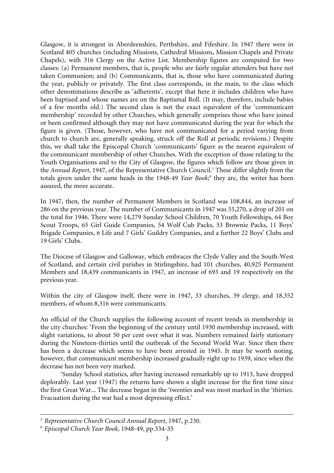Glasgow, it is strongest in Aberdeenshire, Perthshire, and Fifeshire. In 1947 there were in Scotland 405 churches (including Missions, Cathedral Missions, Mission Chapels and Private Chapels), with 316 Clergy on the Active List. Membership figures are computed for two classes: (a) Permanent members, that is, people who are fairly regular attenders but have not taken Communion; and (b) Communicants, that is, those who have communicated during the year, publicly or privately. The first class corresponds, in the main, to the class which other denominations describe as 'adherents', except that here it includes children who have been baptised and whose names are on the Baptismal Roll. (It may, therefore, include babies of a few months old.) The second class is not the exact equivalent of the 'communicant membership' recorded by other Churches, which generally comprises those who have joined or been confirmed although they may not have communicated during the year for which the figure is given. (Those, however, who have not communicated for a period varying from church to church are, generally speaking, struck off the Roll at periodic revisions.) Despite this, we shall take the Episcopal Church 'communicants' figure as the nearest equivalent of the communicant membership of other Churches. With the exception of those relating to the Youth Organisations and to the City of Glasgow, the figures which follow are those given in the *Annual Report*, 1947, of the Representative Church Council.<sup>5</sup> These differ slightly from the totals given under the same heads in the 1948-49 Year Book;<sup>6</sup> they are, the writer has been assured, the more accurate.

In 1947, then, the number of Permanent Members in Scotland was 108,844, an increase of 286 on the previous year. The number of Communicants in 1947 was 55,270, a drop of 201 on the total for 1946. There were 14,279 Sunday School Children, 70 Youth Fellowships, 64 Boy Scout Troops, 65 Girl Guide Companies, 54 Wolf Cub Packs, 53 Brownie Packs, 11 Boys' Brigade Companies, 6 Life and 7 Girls' Guildry Companies, and a further 22 Boys' Clubs and 19 Girls' Clubs.

The Diocese of Glasgow and Galloway, which embraces the Clyde Valley and the South-West of Scotland, and certain civil parishes in Stirlingshire, had 101 churches, 40,925 Permanent Members and 18,439 communicants in 1947, an increase of 693 and 19 respectively on the previous year.

Within the city of Glasgow itself, there were in 1947, 33 churches, 39 clergy, and 18,352 members, of whom 8,316 were communicants.

An official of the Church supplies the following account of recent trends in membership in the city churches: 'From the beginning of the century until 1930 membership increased, with slight variations, to about 50 per cent over what it was. Numbers remained fairly stationary during the Nineteen-thirties until the outbreak of the Second World War. Since then there has been a decrease which seems to have been arrested in 1945. It may be worth noting, however, that communicant membership increased gradually right up to 1939, since when the decrease has not been very marked.

'Sunday School statistics, after having increased remarkably up to 1913, have dropped deplorably. Last year (1947) the returns have shown a slight increase for the first time since the first Great War... The decrease began in the 'twenties and was most marked in the 'thirties. Evacuation during the war had a most depressing effect.'

<sup>5</sup> *Representative Church Council Annual Report*, 1947, p.230.

<sup>6</sup> *Episcopal Church Year Book*, 1948-49, pp.334-35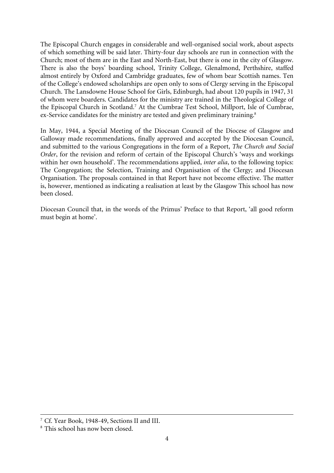The Episcopal Church engages in considerable and well-organised social work, about aspects of which something will be said later. Thirty-four day schools are run in connection with the Church; most of them are in the East and North-East, but there is one in the city of Glasgow. There is also the boys' boarding school, Trinity College, Glenalmond, Perthshire, staffed almost entirely by Oxford and Cambridge graduates, few of whom bear Scottish names. Ten of the College's endowed scholarships are open only to sons of Clergy serving in the Episcopal Church. The Lansdowne House School for Girls, Edinburgh, had about 120 pupils in 1947, 31 of whom were boarders. Candidates for the ministry are trained in the Theological College of the Episcopal Church in Scotland.<sup>7</sup> At the Cumbrae Test School, Millport, Isle of Cumbrae, ex-Service candidates for the ministry are tested and given preliminary training.<sup>8</sup>

In May, 1944, a Special Meeting of the Diocesan Council of the Diocese of Glasgow and Galloway made recommendations, finally approved and accepted by the Diocesan Council, and submitted to the various Congregations in the form of a Report, *The Church and Social Order*, for the revision and reform of certain of the Episcopal Church's 'ways and workings within her own household'. The recommendations applied, *inter alia*, to the following topics: The Congregation; the Selection, Training and Organisation of the Clergy; and Diocesan Organisation. The proposals contained in that Report have not become effective. The matter is, however, mentioned as indicating a realisation at least by the Glasgow This school has now been closed.

Diocesan Council that, in the words of the Primus' Preface to that Report, 'all good reform must begin at home'.

<sup>7</sup> Cf. Year Book, 1948-49, Sections II and III.

<sup>8</sup> This school has now been closed.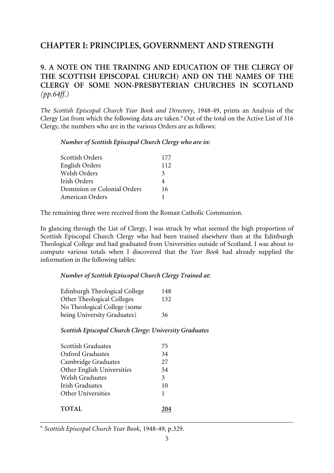# **CHAPTER I: PRINCIPLES, GOVERNMENT AND STRENGTH**

# **9. A NOTE ON THE TRAINING AND EDUCATION OF THE CLERGY OF THE SCOTTISH EPISCOPAL CHURCH) AND ON THE NAMES OF THE CLERGY OF SOME NON-PRESBYTERIAN CHURCHES IN SCOTLAND** *(pp.64ff.)*

*The Scottish Episcopal Church Year Book and Directory*, 1948-49, prints an Analysis of the Clergy List from which the following data are taken.<sup>9</sup> Out of the total on the Active List of 316 Clergy, the numbers who are in the various Orders are as follows:

### *Number of Scottish Episcopal Church Clergy who are in:*

| <b>Scottish Orders</b>      | 177          |
|-----------------------------|--------------|
| <b>English Orders</b>       | 112          |
| Welsh Orders                | $\mathbf{3}$ |
| Irish Orders                | 4            |
| Dominion or Colonial Orders | 16           |
| American Orders             |              |

The remaining three were received from the Roman Catholic Communion.

In glancing through the List of Clergy, I was struck by what seemed the high proportion of Scottish Episcopal Church Clergy who had been trained elsewhere than at the Edinburgh Theological College and had graduated from Universities outside of Scotland. I was about to compute various totals when I discovered that the *Year Book* had already supplied the information in the following tables:

## *Number of Scottish Episcopal Church Clergy Trained at:*

| Edinburgh Theological College     | 148 |
|-----------------------------------|-----|
| <b>Other Theological Colleges</b> | 132 |
| No Theological College (some      |     |
| being University Graduates)       | 36  |

# *Scottish Episcopal Church Clergy: University Graduates*

| <b>Scottish Graduates</b>  | 75 |
|----------------------------|----|
| Oxford Graduates           | 34 |
| Cambridge Graduates        | 27 |
| Other English Universities | 54 |
| <b>Welsh Graduates</b>     | 3  |
| Irish Graduates            | 10 |
| Other Universities         | 1  |
|                            |    |
| <b>TOTAL</b>               |    |

<sup>9</sup> *Scottish Episcopal Church Year Book*, 1948-49, p.329.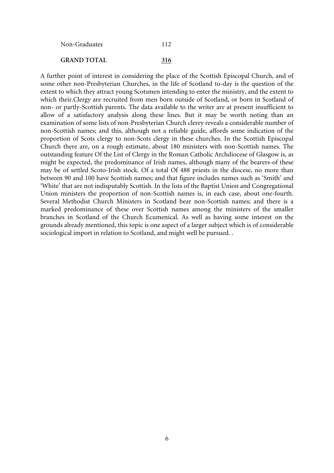| Non-Graduates      | 112 |  |
|--------------------|-----|--|
| <b>GRAND TOTAL</b> | 316 |  |

A further point of interest in considering the place of the Scottish Episcopal Church, and of some other non-Presbyterian Churches, in the life of Scotland to-day is the question of the extent to which they attract young Scotsmen intending to enter the ministry, and the extent to which their.Clergy are recruited from men born outside of Scotland, or born in Scotland of non- or partly-Scottish parents. The data available to the writer are at present insufficient to allow of a satisfactory analysis along these lines. But it may be worth noting than an examination of some lists of non-Presbyterian Church clerey reveals a considerable number of non-Scottish names; and this, although not a reliable guide, affords some indication of the proportion of Scots clergy to non-Scots clergy in these churches. In the Scottish Episcopal Church there are, on a rough estimate, about 180 ministers with non-Scottish names. The outstanding feature Of the List of Clergy in the Roman Catholic Archdiocese of Glasgow is, as might be expected, the predominance of Irish names, although many of the bearers-of these may be of settled Scoto-Irish stock. Of a total Of 488 priests in the diocese, no more than between 90 and 100 have Scottish names; and that figure includes names such as 'Smith' and 'White' that are not indisputably Scottish. In the lists of the Baptist Union and Congregational Union ministers the proportion of non-Scottish names is, in each case, about one-fourth. Several Methodist Church Ministers in Scotland bear non-Scottish names; and there is a marked predominance of these over Scottish names among the ministers of the smaller branches in Scotland of the Church Ecumenical. As well as having some interest on the grounds already mentioned, this topic is one aspect of a larger subject which is of considerable sociological import in relation to Scotland, and might well be pursued. .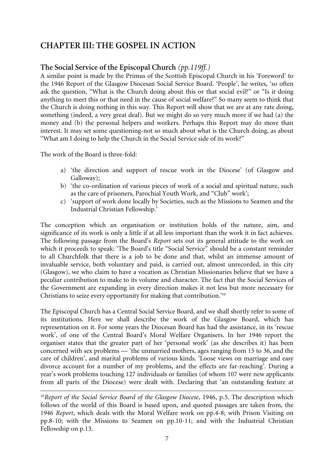# **CHAPTER III: THE GOSPEL IN ACTION**

# **The Social Service of the Episcopal Church** *(pp.119ff.)*

A similar point is made by the Primus of the Scottish Episcopal Church in his 'Foreword' to the 1946 Report of the Glasgow Diocesan Social Service Board. 'People', he writes, 'so often ask the question, "What is the Church doing about this or that social evil?" or "Is it doing anything to meet this or that need in the cause of social welfare?" So many seem to think that the Church is doing nothing in this way. This Report will show that we are at any rate doing, something (indeed, a very great deal). But we might do so very much more if we had (a) the money and (b) the personal helpers and workers. Perhaps this Report may do more than interest. It may set some questioning-not so much about what is the Church doing, as about "What am I doing to help the Church in the Social Service side of its work?"

The work of the Board is three-fold:

- a) 'the direction and support of rescue work in the Diocese' (of Glasgow and Galloway);
- b) 'the co-ordination of various pieces of work of a social and spiritual nature, such as the care of prisoners, Parochial Youth Work, and "Club" work';
- c) 'support of work done locally by Societies, such as the Missions to Seamen and the Industrial Christian Fellowship.'

The conception which an organisation or institution holds of the nature, aim, and significance of its work is only a little if at all less important than the work it in fact achieves. The following passage from the Board's *Report* sets out its general attitude to the work on which it proceeds to speak: 'The Board's title "Social Service" should be a constant reminder to all Churchfolk that there is a job to be done and that, whilst an immense amount of invaluable service, both voluntary and paid, is carried out, almost unrecorded, in this city (Glasgow), we who claim to have a vocation as Christian Missionaries believe that we have a peculiar contribution to make to its volume and character. The fact that the Social Services of the Government are expanding in every direction makes it not less but more necessary for Christians to seize every opportunity for making that contribution.'10

The Episcopal Church has a Central Social Service Board, and we shall shortly refer to some of its institutions. Here we shall describe the work of the Glasgow Board, which has representation on it. For some years the Diocesan Board has had the assistance, in its 'rescue work', of one of the Central Board's Moral Welfare Organisers. In her 1946 report the organiser states that the greater part of her 'personal work' (as she describes it) has been concerned with sex problems — 'the unmarried mothers, ages ranging from 15 to 36, and the care of children', and marital problems of various kinds. 'Loose views on marriage and easy divorce account for a number of my problems, and the effects are far-reaching'. During a year's work problems touching 127 individuals or families (of whom 107 were new applicants from all parts of the Diocese) were dealt with. Declaring that 'an outstanding feature at

<sup>10</sup>*Report of the Social Service Board of the Glasgow Diocese*, 1946, p.5. The description which follows of the world of this Board is based upon, and quoted passages are taken from, the 1946 *Report*, which deals with the Moral Welfare work on pp.4-8; with Prison Visiting on pp.8-10; with the Missions to Seamen on pp.10-11; and with the Industrial Christian Fellowship on p.13.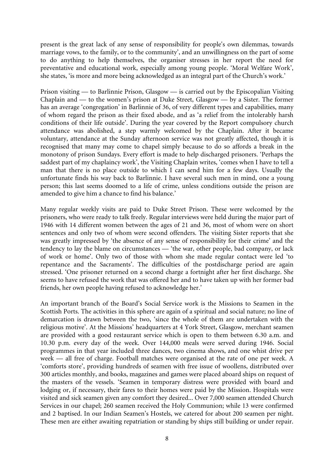present is the great lack of any sense of responsibility for people's own dilemmas, towards marriage vows, to the family, or to the community', and an unwillingness on the part of some to do anything to help themselves, the organiser stresses in her report the need for preventative and educational work, especially among young people. 'Moral Welfare Work', she states, 'is more and more being acknowledged as an integral part of the Church's work.'

Prison visiting — to Barlinnie Prison, Glasgow — is carried out by the Episcopalian Visiting Chaplain and — to the women's prison at Duke Street, Glasgow — by a Sister. The former has an average 'congregation' in Barlinnie of 36, of very different types and capabilities, many of whom regard the prison as their fixed abode, and as 'a relief from the intolerably harsh conditions of their life outside'. During the year covered by the Report compulsory church attendance was abolished, a step warmly welcomed by the Chaplain. After it became voluntary, attendance at the Sunday afternoon service was not greatly affected, though it is recognised that many may come to chapel simply because to do so affords a break in the monotony of prison Sundays. Every effort is made to help discharged prisoners. 'Perhaps the saddest part of my chaplaincy work', the Visiting Chaplain writes, 'comes when I have to tell a man that there is no place outside to which I can send him for a few days. Usually the unfortunate finds his way back to Barlinnie. I have several such men in mind, one a young person; this last seems doomed to a life of crime, unless conditions outside the prison are amended to give him a chance to find his balance.'

Many regular weekly visits are paid to Duke Street Prison. These were welcomed by the prisoners, who were ready to talk freely. Regular interviews were held during the major part of 1946 with 14 different women between the ages of 21 and 36, most of whom were on short sentences and only two of whom were second offenders. The visiting Sister reports that she was greatly impressed by 'the absence of any sense of responsibility for their crime' and the tendency to lay the blame on circumstances — 'the war, other people, bad company, or lack of work or home'. Only two of those with whom she made regular contact were led 'to repentance and the Sacraments'. The difficulties of the postdischarge period are again stressed. 'One prisoner returned on a second charge a fortnight after her first discharge. She seems to have refused the work that was offered her and to have taken up with her former bad friends, her own people having refused to acknowledge her.'

An important branch of the Board's Social Service work is the Missions to Seamen in the Scottish Ports. The activities in this sphere are again of a spiritual and social nature; no line of demarcation is drawn between the two, 'since the whole of them are undertaken with the religious motive'. At the Missions' headquarters at 4 York Street, Glasgow, merchant seamen are provided with a good restaurant service which is open to them between 6.30 a.m. and 10.30 p.m. every day of the week. Over 144,000 meals were served during 1946. Social programmes in that year included three dances, two cinema shows, and one whist drive per week — all free of charge. Football matches were organised at the rate of one per week. A 'comforts store', providing hundreds of seamen with free issue of woollens, distributed over 300 articles monthly, and books, magazines and games were placed aboard ships on request of the masters of the vessels. 'Seamen in temporary distress were provided with board and lodging or, if necessary, their fares to their homes were paid by the Mission. Hospitals were visited and sick seamen given any comfort they desired... Over 7,000 seamen attended Church Services in our chapel; 260 seamen received the Holy Communion; while 13 were confirmed and 2 baptised. In our Indian Seamen's Hostels, we catered for about 200 seamen per night. These men are either awaiting repatriation or standing by ships still building or under repair.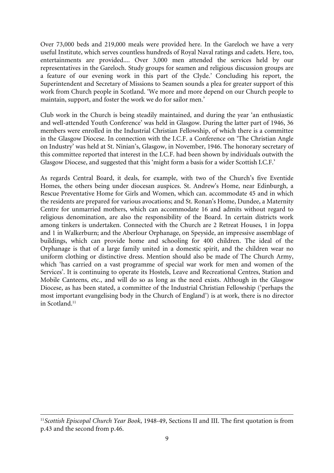Over 73,000 beds and 219,000 meals were provided here. In the Gareloch we have a very useful Institute, which serves countless hundreds of Royal Naval ratings and cadets. Here, too, entertainments are provided.... Over 3,000 men attended the services held by our representatives in the Gareloch. Study groups for seamen and religious discussion groups are a feature of our evening work in this part of the Clyde.' Concluding his report, the Superintendent and Secretary of Missions to Seamen sounds a plea for greater support of this work from Church people in Scotland. 'We more and more depend on our Church people to maintain, support, and foster the work we do for sailor men.'

Club work in the Church is being steadily maintained, and during the year 'an enthusiastic and well-attended Youth Conference' was held in Glasgow. During the latter part of 1946, 36 members were enrolled in the Industrial Christian Fellowship, of which there is a committee in the Glasgow Diocese. In connection with the I.C.F. a Conference on 'The Christian Angle on Industry' was held at St. Ninian's, Glasgow, in November, 1946. The honorary secretary of this committee reported that interest in the I.C.F. had been shown by individuals outwith the Glasgow Diocese, and suggested that this 'might form a basis for a wider Scottish I.C.F.'

As regards Central Board, it deals, for example, with two of the Church's five Eventide Homes, the others being under diocesan auspices. St. Andrew's Home, near Edinburgh, a Rescue Preventative Home for Girls and Women, which can. accommodate 45 and in which the residents are prepared for various avocations; and St. Ronan's Home, Dundee, a Maternity Centre for unmarried mothers, which can accommodate 16 and admits without regard to religious denomination, are also the responsibility of the Board. In certain districts work among tinkers is undertaken. Connected with the Church are 2 Retreat Houses, 1 in Joppa and 1 in Walkerburn; and the Aberlour Orphanage, on Speyside, an impressive assemblage of buildings, which can provide home and schooling for 400 children. The ideal of the Orphanage is that of a large family united in a domestic spirit, and the children wear no uniform clothing or distinctive dress. Mention should also be made of The Church Army, which 'has carried on a vast programme of special war work for men and women of the Services'. It is continuing to operate its Hostels, Leave and Recreational Centres, Station and Mobile Canteens, etc., and will do so as long as the need exists. Although in the Glasgow Diocese, as has been stated, a committee of the Industrial Christian Fellowship ('perhaps the most important evangelising body in the Church of England') is at work, there is no director in Scotland.<sup>11</sup>

<sup>11</sup>*Scottish Episcopal Church Year Book*, 1948-49, Sections II and III. The first quotation is from p.43 and the second from p.46.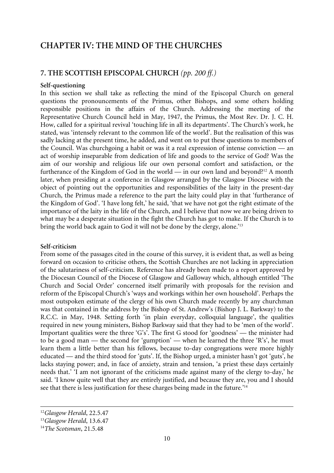# **CHAPTER IV: THE MIND OF THE CHURCHES**

# **7. THE SCOTTISH EPISCOPAL CHURCH** *(pp. 200 ff.)*

### **Self-questioning**

In this section we shall take as reflecting the mind of the Episcopal Church on general questions the pronouncements of the Primus, other Bishops, and some others holding responsible positions in the affairs of the Church. Addressing the meeting of the Representative Church Council held in May, 1947, the Primus, the Most Rev. Dr. J. C. H. How, called for a spiritual revival 'touching life in all its departments'. The Church's work, he stated, was 'intensely relevant to the common life of the world'. But the realisation of this was sadly lacking at the present time, he added, and went on to put these questions to members of the Council. Was churchgoing a habit or was it a real expression of intense conviction — an act of worship inseparable from dedication of life and goods to the service of God? Was the aim of our worship and religious life our own personal comfort and satisfaction, or the furtherance of the Kingdom of God in the world — in our own land and beyond?12 A month later, when presiding at a conference in Glasgow arranged by the Glasgow Diocese with the object of pointing out the opportunities and responsibilities of the laity in the present-day Church, the Primus made a reference to the part the laity could play in that 'furtherance of the Kingdom of God'. 'I have long felt,' he said, 'that we have not got the right estimate of the importance of the laity in the life of the Church, and I believe that now we are being driven to what may be a desperate situation in the fight the Church has got to make. If the Church is to bring the world back again to God it will not be done by the clergy, alone.<sup>13</sup>

# **Self-criticism**

From some of the passages cited in the course of this survey, it is evident that, as well as being forward on occasion to criticise others, the Scottish Churches are not lacking in appreciation of the salutariness of self-criticism. Reference has already been made to a report approved by the Diocesan Council of the Diocese of Glasgow and Galloway which, although entitled 'The Church and Social Order' concerned itself primarily with proposals for the revision and reform of the Episcopal Church's 'ways and workings within her own household'. Perhaps the most outspoken estimate of the clergy of his own Church made recently by any churchman was that contained in the address by the Bishop of St. Andrew's (Bishop J. L. Barkway) to the R.C.C. in May, 1948. Setting forth 'in plain everyday, colloquial language', the qualities required in new young ministers, Bishop Barkway said that they had to be 'men of the world'. Important qualities were the three 'G's'. The first G stood for 'goodness' — the minister had to be a good man — the second for 'gumption' — when he learned the three 'R's', he must learn them a little better than his fellows, because to-day congregations were more highly educated — and the third stood for 'guts'. If, the Bishop urged, a minister hasn't got 'guts', he lacks staying power; and, in face of anxiety, strain and tension, 'a priest these days certainly needs that.' 'I am not ignorant of the criticisms made against many of the clergy to-day,' he said. 'I know quite well that they are entirely justified, and because they are, you and I should see that there is less justification for these charges being made in the future.'14

<sup>12</sup>*Glasgow Herald*, 22.5.47

<sup>13</sup>*Glasgow Herald*, 13.6.47

<sup>14</sup>*The Scotsman*, 21.5.48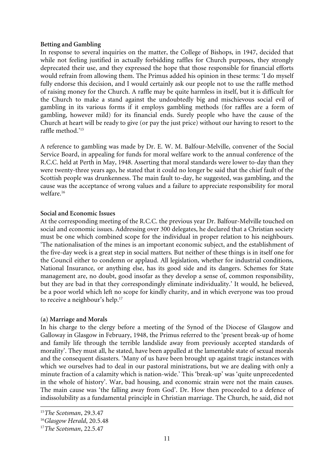#### **Betting and Gambling**

In response to several inquiries on the matter, the College of Bishops, in 1947, decided that while not feeling justified in actually forbidding raffles for Church purposes, they strongly deprecated their use, and they expressed the hope that those responsible for financial efforts would refrain from allowing them. The Primus added his opinion in these terms: 'I do myself fully endorse this decision, and I would certainly ask our people not to use the raffle method of raising money for the Church. A raffle may be quite harmless in itself, but it is difficult for the Church to make a stand against the undoubtedly big and mischievous social evil of gambling in its various forms if it employs gambling methods (for raffles are a form of gambling, however mild) for its financial ends. Surely people who have the cause of the Church at heart will be ready to give (or pay the just price) without our having to resort to the raffle method.'15

A reference to gambling was made by Dr. E. W. M. Balfour-Melville, convener of the Social Service Board, in appealing for funds for moral welfare work to the annual conference of the R.C.C. held at Perth in May, 1948. Asserting that moral standards were lower to-day than they were twenty-three years ago, he stated that it could no longer be said that the chief fault of the Scottish people was drunkenness. The main fault to-day, he suggested, was gambling, and the cause was the acceptance of wrong values and a failure to appreciate responsibility for moral welfare.<sup>16</sup>

### **Social and Economic Issues**

At the corresponding meeting of the R.C.C. the previous year Dr. Balfour-Melville touched on social and economic issues. Addressing over 300 delegates, he declared that a Christian society must be one which combined scope for the individual in proper relation to his neighbours. 'The nationalisation of the mines is an important economic subject, and the establishment of the five-day week is a great step in social matters. But neither of these things is in itself one for the Council either to condemn or applaud. All legislation, whether for industrial conditions, National Insurance, or anything else, has its good side and its dangers. Schemes for State management are, no doubt, good insofar as they develop a sense of, common responsibility, but they are bad in that they correspondingly eliminate individuality.' It would, he believed, be a poor world which left no scope for kindly charity, and in which everyone was too proud to receive a neighbour's help.<sup>17</sup>

### **(a) Marriage and Morals**

In his charge to the clergy before a meeting of the Synod of the Diocese of Glasgow and Galloway in Glasgow in February, 1948, the Primus referred to the 'present break-up of home and family life through the terrible landslide away from previously accepted standards of morality'. They must all, he stated, have been appalled at the lamentable state of sexual morals and the consequent disasters. 'Many of us have been brought up against tragic instances with which we ourselves had to deal in our pastoral ministrations, but we are dealing with only a minute fraction of a calamity which is nation-wide.' This 'break-up' was 'quite unprecedented in the whole of history'. War, bad housing, and economic strain were not the main causes. The main cause was 'the falling away from God'. Dr. How then proceeded to a defence of indissolubility as a fundamental principle in Christian marriage. The Church, he said, did not

<sup>15</sup>*The Scotsman*, 29.3.47

<sup>16</sup>*Glasgow Herald*, 20.5.48

<sup>17</sup>*The Scotsman*, 22.5.47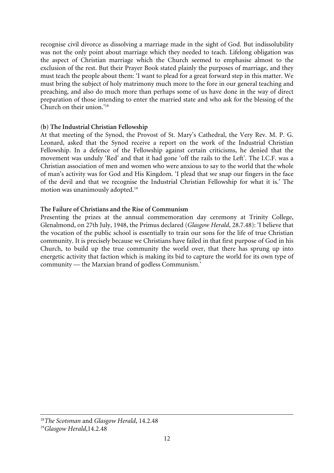recognise civil divorce as dissolving a marriage made in the sight of God. But indissolubility was not the only point about marriage which they needed to teach. Lifelong obligation was the aspect of Christian marriage which the Church seemed to emphasise almost to the exclusion of the rest. But their Prayer Book stated plainly the purposes of marriage, and they must teach the people about them: 'I want to plead for a great forward step in this matter. We must bring the subject of holy matrimony much more to the fore in our general teaching and preaching, and also do much more than perhaps some of us have done in the way of direct preparation of those intending to enter the married state and who ask for the blessing of the Church on their union.'18

## **(b) The Industrial Christian Fellowship**

At that meeting of the Synod, the Provost of St. Mary's Cathedral, the Very Rev. M. P. G. Leonard, asked that the Synod receive a report on the work of the Industrial Christian Fellowship. In a defence of the Fellowship against certain criticisms, he denied that the movement was unduly 'Red' and that it had gone 'off the rails to the Left'. The I.C.F. was a Christian association of men and women who were anxious to say to the world that the whole of man's activity was for God and His Kingdom. 'I plead that we snap our fingers in the face of the devil and that we recognise the Industrial Christian Fellowship for what it is.' The motion was unanimously adopted.19

# **The Failure of Christians and the Rise of Communism**

Presenting the prizes at the annual commemoration day ceremony at Trinity College, Glenalmond, on 27th July, 1948, the Primus declared (*Glasgow Herald*, 28.7.48): 'I believe that the vocation of the public school is essentially to train our sons for the life of true Christian community. It is precisely because we Christians have failed in that first purpose of God in his Church, to build up the true community the world over, that there has sprung up into energetic activity that faction which is making its bid to capture the world for its own type of community — the Marxian brand of godless Communism.'

<sup>18</sup>*The Scotsman* and *Glasgow Herald*, 14.2.48

<sup>19</sup>*Glasgow Herald*,14.2.48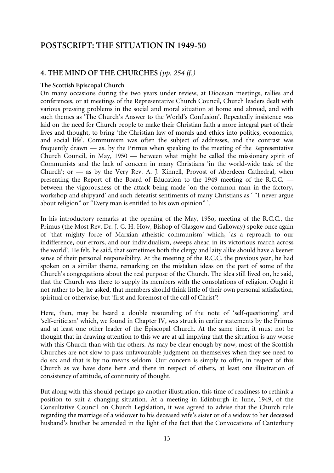# **POSTSCRIPT: THE SITUATION IN 1949-50**

# **4. THE MIND OF THE CHURCHES** *(pp. 254 ff.)*

#### **The Scottish Episcopal Church**

On many occasions during the two years under review, at Diocesan meetings, rallies and conferences, or at meetings of the Representative Church Council, Church leaders dealt with various pressing problems in the social and moral situation at home and abroad, and with such themes as 'The Church's Answer to the World's Confusion'. Repeatedly insistence was laid on the need for Church people to make their Christian faith a more integral part of their lives and thought, to bring 'the Christian law of morals and ethics into politics, economics, and social life'. Communism was often the subject of addresses, and the contrast was frequently drawn — as. by the Primus when speaking to the meeting of the Representative Church Council, in May, 1950 — between what might be called the missionary spirit of Communists and the lack of concern in many Christians 'in the world-wide task of the Church'; or — as by the Very Rev. A. J. Kinnell, Provost of Aberdeen Cathedral, when presenting the Report of the Board of Education to the 1949 meeting of the R.C.C. between the vigorousness of the attack being made 'on the common man in the factory, workshop and shipyard' and such defeatist sentiments of many Christians as ' "I never argue about religion" or "Every man is entitled to his own opinion" '.

In his introductory remarks at the opening of the May, 19So, meeting of the R.C.C., the Primus (the Most Rev. Dr. J. C. H. How, Bishop of Glasgow and Galloway) spoke once again of 'that mighty force of Marxian atheistic communism' which, 'as a reproach to our indifference, our errors, and our individualism, sweeps ahead in its victorious march across the world'. He felt, he said, that sometimes both the clergy and laity alike should have a keener sense of their personal responsibility. At the meeting of the R.C.C. the previous year, he had spoken on a similar theme, remarking on the mistaken ideas on the part of some of the Church's congregations about the real purpose of the Church. The idea still lived on, he said, that the Church was there to supply its members with the consolations of religion. Ought it not rather to be, he asked, that members should think little of their own personal satisfaction, spiritual or otherwise, but 'first and foremost of the call of Christ'?

Here, then, may be heard a double resounding of the note of 'self-questioning' and 'self-criticism' which, we found in Chapter IV, was struck in earlier statements by the Primus and at least one other leader of the Episcopal Church. At the same time, it must not be thought that in drawing attention to this we are at all implying that the situation is any worse with this Church than with the others. As may be clear enough by now, most of the Scottish Churches are not slow to pass unfavourable judgment on themselves when they see need to do so; and that is by no means seldom. Our concern is simply to offer, in respect of this Church as we have done here and there in respect of others, at least one illustration of consistency of attitude, of continuity of thought.

But along with this should perhaps go another illustration, this time of readiness to rethink a position to suit a changing situation. At a meeting in Edinburgh in June, 1949, of the Consultative Council on Church Legislation, it was agreed to advise that the Church rule regarding the marriage of a widower to his deceased wife's sister or of a widow to her deceased husband's brother be amended in the light of the fact that the Convocations of Canterbury